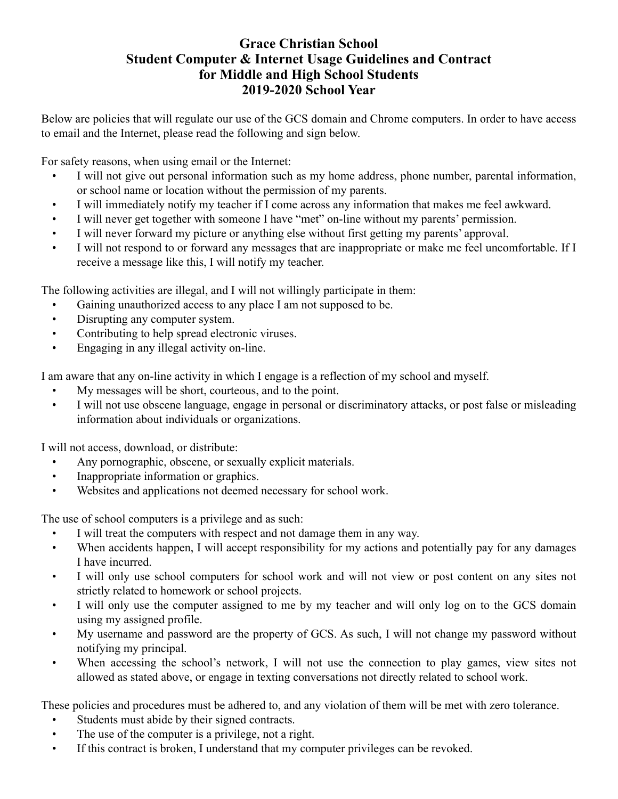## **Grace Christian School Student Computer & Internet Usage Guidelines and Contract for Middle and High School Students 2019-2020 School Year**

Below are policies that will regulate our use of the GCS domain and Chrome computers. In order to have access to email and the Internet, please read the following and sign below.

For safety reasons, when using email or the Internet:

- I will not give out personal information such as my home address, phone number, parental information, or school name or location without the permission of my parents.
- I will immediately notify my teacher if I come across any information that makes me feel awkward.
- I will never get together with someone I have "met" on-line without my parents' permission.
- I will never forward my picture or anything else without first getting my parents' approval.
- I will not respond to or forward any messages that are inappropriate or make me feel uncomfortable. If I receive a message like this, I will notify my teacher.

The following activities are illegal, and I will not willingly participate in them:

- Gaining unauthorized access to any place I am not supposed to be.
- Disrupting any computer system.
- Contributing to help spread electronic viruses.
- Engaging in any illegal activity on-line.

I am aware that any on-line activity in which I engage is a reflection of my school and myself.

- My messages will be short, courteous, and to the point.
- I will not use obscene language, engage in personal or discriminatory attacks, or post false or misleading information about individuals or organizations.

I will not access, download, or distribute:

- Any pornographic, obscene, or sexually explicit materials.
- Inappropriate information or graphics.
- Websites and applications not deemed necessary for school work.

The use of school computers is a privilege and as such:

- I will treat the computers with respect and not damage them in any way.
- When accidents happen, I will accept responsibility for my actions and potentially pay for any damages I have incurred.
- I will only use school computers for school work and will not view or post content on any sites not strictly related to homework or school projects.
- I will only use the computer assigned to me by my teacher and will only log on to the GCS domain using my assigned profile.
- My username and password are the property of GCS. As such, I will not change my password without notifying my principal.
- When accessing the school's network, I will not use the connection to play games, view sites not allowed as stated above, or engage in texting conversations not directly related to school work.

These policies and procedures must be adhered to, and any violation of them will be met with zero tolerance.

- Students must abide by their signed contracts.
- The use of the computer is a privilege, not a right.
- If this contract is broken, I understand that my computer privileges can be revoked.